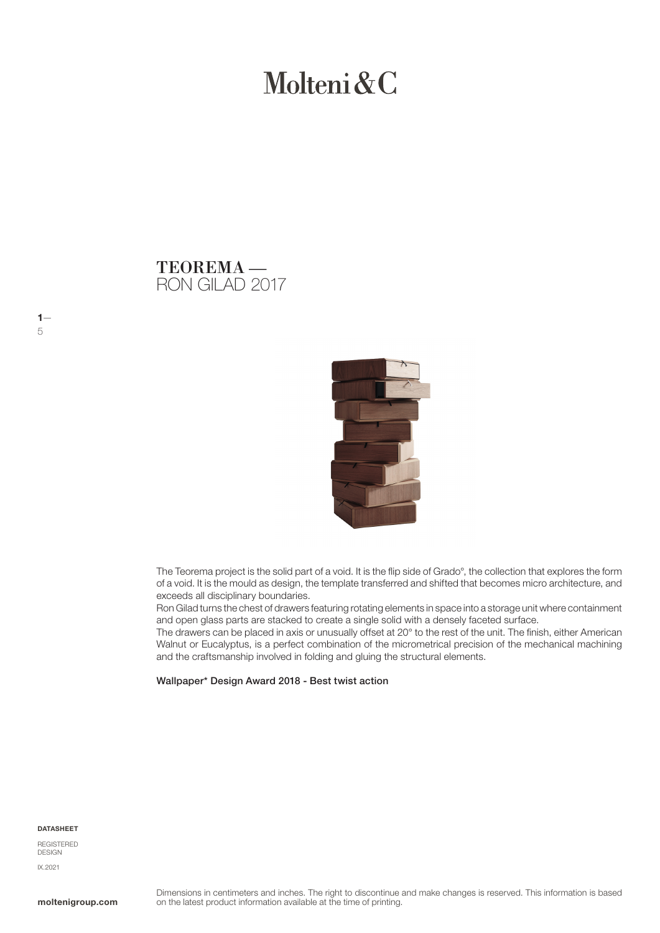# Molteni & C

# RON GILAD 2017 TEOREMA —



The Teorema project is the solid part of a void. It is the flip side of Grado°, the collection that explores the form of a void. It is the mould as design, the template transferred and shifted that becomes micro architecture, and exceeds all disciplinary boundaries.

Ron Gilad turns the chest of drawers featuring rotating elements in space into a storage unit where containment and open glass parts are stacked to create a single solid with a densely faceted surface.

The drawers can be placed in axis or unusually offset at 20° to the rest of the unit. The finish, either American Walnut or Eucalyptus, is a perfect combination of the micrometrical precision of the mechanical machining and the craftsmanship involved in folding and gluing the structural elements.

Wallpaper\* Design Award 2018 - Best twist action

#### DATASHEET

 $1-$ 

5

REGISTERED DESIGN IX.2021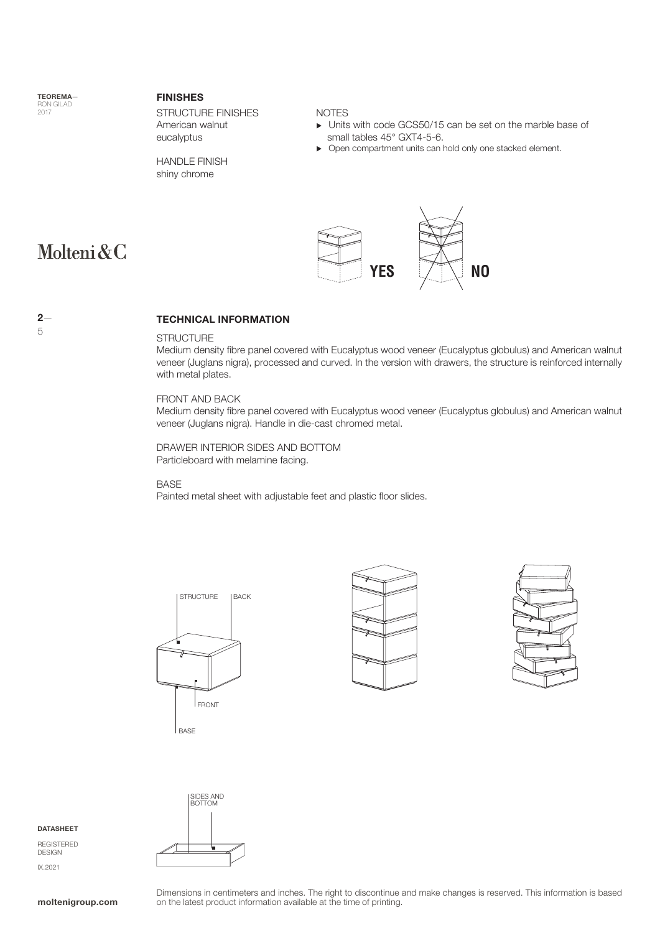TEOREMA— RON GILAD 2017

Molteni&C

#### FINISHES

STRUCTURE FINISHES American walnut eucalyptus

HANDLE FINISH shiny chrome

## NOTES

- Units with code GCS50/15 can be set on the marble base of small tables 45° GXT4-5-6.
- ▶ Open compartment units can hold only one stacked element.



# TECHNICAL INFORMATION

# **STRUCTURE**

Medium density fibre panel covered with Eucalyptus wood veneer (Eucalyptus globulus) and American walnut veneer (Juglans nigra), processed and curved. In the version with drawers, the structure is reinforced internally with metal plates.

## FRONT AND BACK

Medium density fibre panel covered with Eucalyptus wood veneer (Eucalyptus globulus) and American walnut veneer (Juglans nigra). Handle in die-cast chromed metal.

DRAWER INTERIOR SIDES AND BOTTOM Particleboard with melamine facing.

#### BASE

Painted metal sheet with adjustable feet and plastic floor slides.









REGISTERED DESIGN IX.2021



Dimensions in centimeters and inches. The right to discontinue and make changes is reserved. This information is based **moltenigroup.com** on the latest product information available at the time of printing.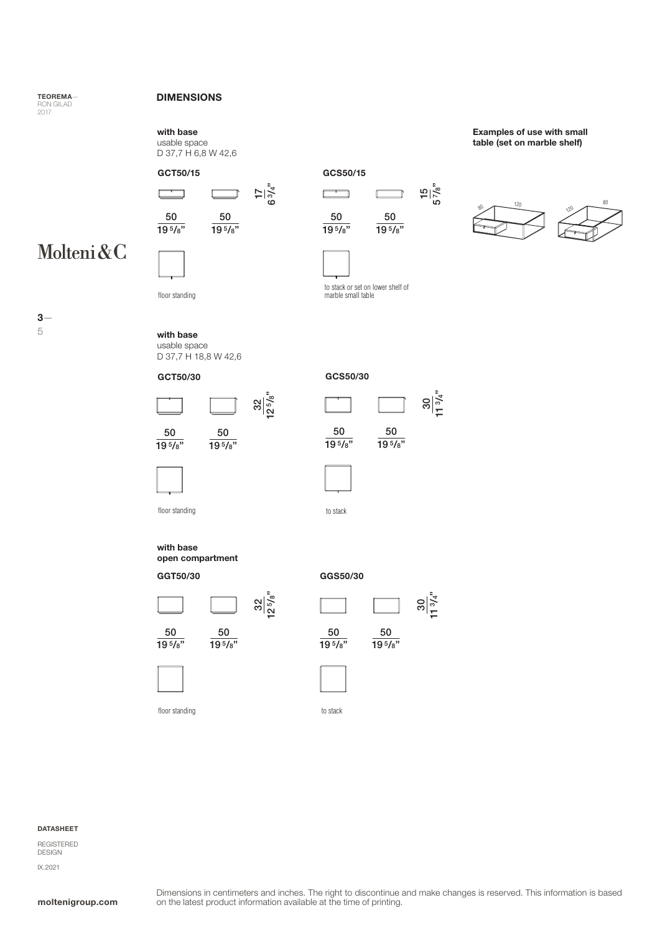# TEOREMA— RON GILAD 2017

# DIMENSIONS

with base

usable space D 37,7 H 6,8 W 42,6









50 19<sup>5</sup>/8"

 $\overline{\phantom{0}}$ 

Examples of use with small table (set on marble shelf)



floor standing



to stack or set on lower shelf of marble small table

50  $19\frac{5}{8}$ " 15 5 7/8"

ន|<br>ន|ី<br>អ

នា់<br>ខ<sup>្រ</sup>ី



5

with base usable space

D 37,7 H 18,8 W 42,6





 $\frac{32}{1258}$ 

| 50         | 50           |
|------------|--------------|
| $19^{5}/s$ | $19^{5}/s$ " |
|            |              |



floor standing to stack

with base open compartment

GGT50/30 GGS50/30



 $19\frac{5}{8}$ "



floor standing





to stack

#### DATASHEET

REGISTERED DESIGN IX.2021

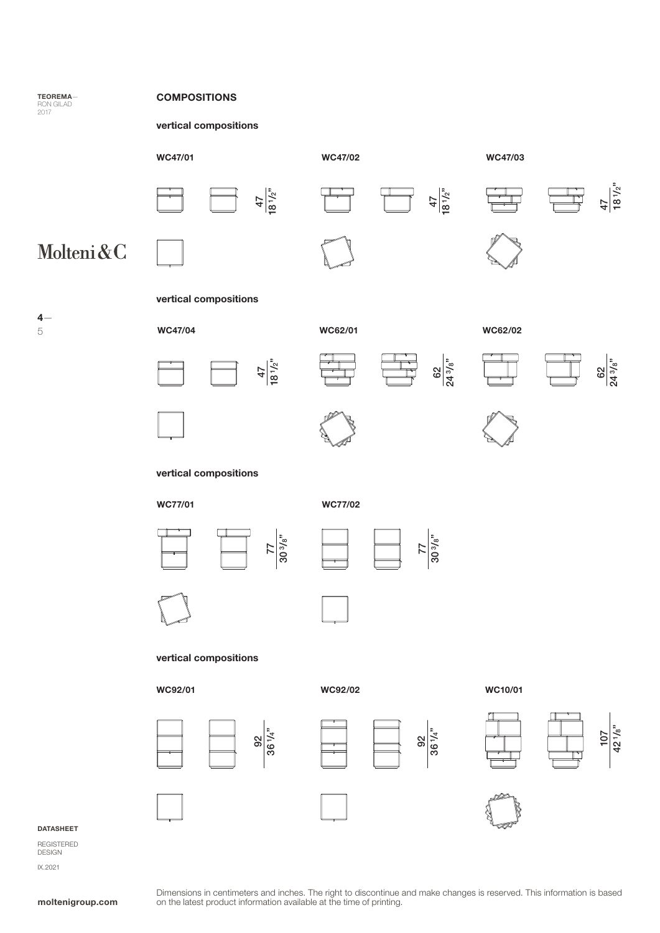

 $4-$ 

5

# vertical compositions







47 18 1/2"



WC47/03

Ë



77 30 3/8"



77 30 3/8"





# vertical compositions

### WC92/01





WC92/02







42 1/8"



#### DATASHEET

REGISTERED DESIGN IX.2021

Dimensions in centimeters and inches. The right to discontinue and make changes is reserved. This information is based **moltenigroup.com** on the latest product information available at the time of printing.